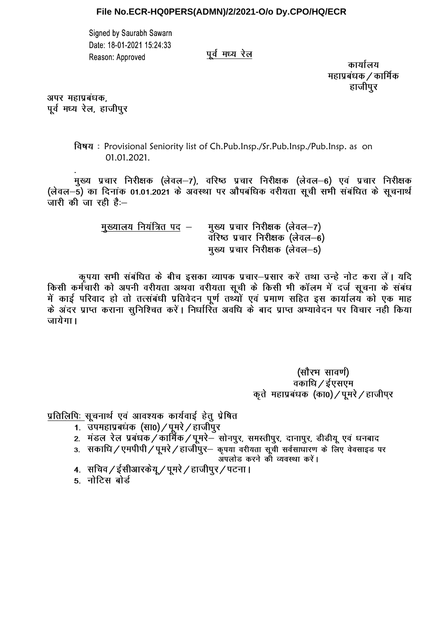## File No.ECR-HQ0PERS(ADMN)/2/2021-O/o Dy.CPO/HQ/ECR

Signed by Saurabh Sawarn Date: 18-01-2021 15:24:33 Reason: Approved

पर्व मध्य रेल

कार्यालय महाप्रबंधक / कार्मिक हाजीपर

अपर महाप्रबंधक, पूर्व मध्य रेल, हाजीपुर

> विषय : Provisional Seniority list of Ch.Pub.Insp./Sr.Pub.Insp./Pub.Insp. as on 01.01.2021.

मुख्य प्रचार निरीक्षक (लेवल—7), वरिष्ठ प्रचार निरीक्षक (लेवल—6) एवं प्रचार निरीक्षक (लेवल–5) का दिनांक 01.01.2021 के अवस्था पर औपबंधिक वरीयता सूची सभी संबंधित के सूचनार्थ जारी की जा रही है:--

> मुख्यालय नियंत्रित पद – मुख्य प्रचार निरीक्षक (लेवल-7) वरिष्ठ प्रचार निरीक्षक (लेवल-6) मुख्य प्रचार निरीक्षक (लेवल-5)

कृपया सभी संबंधित के बीच इसका व्यापक प्रचार–प्रसार करें तथा उन्हे नोट करा लें। यदि किसी कर्मचारी को अपनी वरीयता अथवा वरीयता सूची के किसी भी कॉलम में दर्ज सूचना के संबंध में काई परिवाद हो तो तत्संबंधी प्रतिवेदन पर्ण तथ्यों एवं प्रमाण सहित इस कार्यालय को एक माह के अंदर प्राप्त कराना सुनिश्चित करें। निर्धारित अवधि के बाद प्राप्त अभ्यावेदन पर विचार नहीं किया जायेगा।

> (सौरभ सावर्ण) वकाधि / ईएसएम कृते महाप्रबंधक (का0) / पूमरे / हाजीपर

प्रतिलिपिः सुचनार्थ एवं आवश्यक कार्यवाई हेतु प्रेषित

- 1. उपमहाप्रबंधक (सा0) / पूमरे / हाजीपुर
- 2. मंडल रेल प्रबंधक/कार्मिक/पूमरे– सोनपुर, समस्तीपुर, दानापुर, डीडीयू एवं धनबाद
- 3. सकाधि / एमपीपी / पूमरे / हाजीपुर- कृपया वरीयता सूची सर्वसाधारण के लिए वेवसाइड पर

अपलोड करने को व्यवस्था करें।

- 4. सचिव / ईसीआरकेय् / पुमरे / हाजीपुर / पटना ।
- 5. नोटिस बोर्ड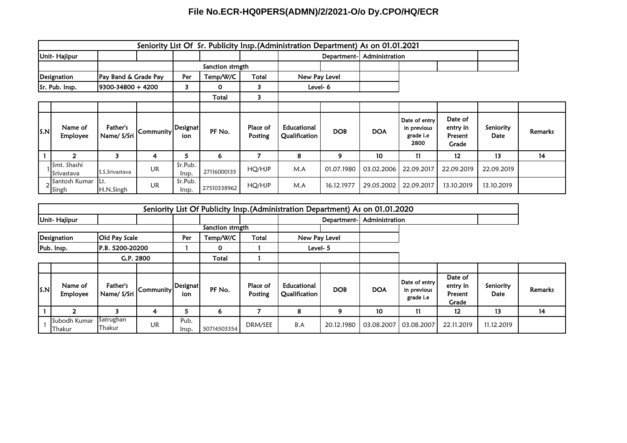## **File No.ECR-HQ0PERS(ADMN)/2/2021-O/o Dy.CPO/HQ/ECR**

|              | Seniority List Of Sr. Publicity Insp.(Administration Department) As on 01.01.2021 |                         |                  |                  |             |                     |                              |            |            |                                                          |                                         |                   |                |
|--------------|-----------------------------------------------------------------------------------|-------------------------|------------------|------------------|-------------|---------------------|------------------------------|------------|------------|----------------------------------------------------------|-----------------------------------------|-------------------|----------------|
| Unit-Hajipur |                                                                                   |                         |                  |                  | Department- |                     | Administration               |            |            |                                                          |                                         |                   |                |
|              |                                                                                   |                         | Sanction strngth |                  |             |                     |                              |            |            |                                                          |                                         |                   |                |
| Designation  |                                                                                   | Pay Band & Grade Pay    |                  | Per              | Temp/W/C    | Total               | New Pay Level                |            |            |                                                          |                                         |                   |                |
|              | 9300-34800 + 4200<br>Sr. Pub. Insp.                                               |                         |                  | 3                | 0           | 3                   | Level-6                      |            |            |                                                          |                                         |                   |                |
|              |                                                                                   |                         |                  |                  | Total       | 3                   |                              |            |            |                                                          |                                         |                   |                |
|              |                                                                                   |                         |                  |                  |             |                     |                              |            |            |                                                          |                                         |                   |                |
| S.N          | Name of<br><b>Employee</b>                                                        | Father's<br>Name/ S/Sri | Community        | Designat<br>ion  | PF No.      | Place of<br>Posting | Educational<br>Qualification | <b>DOB</b> | <b>DOA</b> | Date of entry<br>in previous<br>grade <i>i.e</i><br>2800 | Date of<br>entry in<br>Present<br>Grade | Seniority<br>Date | <b>Remarks</b> |
|              |                                                                                   | 3                       | 4                | 5                | 6           |                     | 8                            | 9          | 10         | 11                                                       | 12                                      | 13                | 14             |
|              | Smt. Shashi<br>Srivastava                                                         | S.S.Srivastava          | UR               | Sr.Pub.<br>Insp. | 27116000135 | HQ/HJP              | M.A                          | 01.07.1980 | 03.02.2006 | 22.09.2017                                               | 22.09.2019                              | 22.09.2019        |                |
|              | Santosh Kumar<br><b>Singh</b>                                                     | Lt.<br>H.N.Singh        | UR               | Sr.Pub.<br>lnsp. | 27510338962 | HQ/HJP              | M.A                          | 16.12.1977 | 29.05.2002 | 22.09.2017                                               | 13.10.2019                              | 13.10.2019        |                |

|              | Seniority List Of Publicity Insp. (Administration Department) As on 01.01.2020 |                                |           |                 |                  |                     |                              |                |            |                                           |                                         |                   |         |
|--------------|--------------------------------------------------------------------------------|--------------------------------|-----------|-----------------|------------------|---------------------|------------------------------|----------------|------------|-------------------------------------------|-----------------------------------------|-------------------|---------|
| Unit-Hajipur |                                                                                |                                |           |                 |                  |                     | Department-                  | Administration |            |                                           |                                         |                   |         |
|              |                                                                                |                                |           |                 | Sanction strngth |                     |                              |                |            |                                           |                                         |                   |         |
| Designation  |                                                                                | <b>Old Pay Scale</b>           |           | Per             | Temp/W/C         | Total               | New Pay Level                |                |            |                                           |                                         |                   |         |
| Pub. Insp.   |                                                                                | IP.B. 5200-20200               |           |                 | 0                |                     | Level- 5                     |                |            |                                           |                                         |                   |         |
| G.P. 2800    |                                                                                |                                |           | Total           |                  |                     |                              |                |            |                                           |                                         |                   |         |
|              |                                                                                |                                |           |                 |                  |                     |                              |                |            |                                           |                                         |                   |         |
| S.N          | Name of<br><b>Employee</b>                                                     | <b>Father's</b><br>Name/ S/Sri | Community | Designat<br>ion | PF No.           | Place of<br>Posting | Educational<br>Qualification | <b>DOB</b>     | <b>DOA</b> | Date of entry<br>in previous<br>grade i.e | Date of<br>entry in<br>Present<br>Grade | Seniority<br>Date | Remarks |
|              | ົ                                                                              |                                | 4         | 5               | 6                | 7                   | 8                            | 9              | 10         | 11                                        | $12 \,$                                 | 13                | 14      |
|              | Subodh Kumar<br>Thakur                                                         | Satrughan<br>Thakur            | UR        | Pub.<br>Insp.   | 50714503354      | DRM/SEE             | B.A                          | 20.12.1980     | 03.08.2007 | 03.08.2007                                | 22.11.2019                              | 11.12.2019        |         |